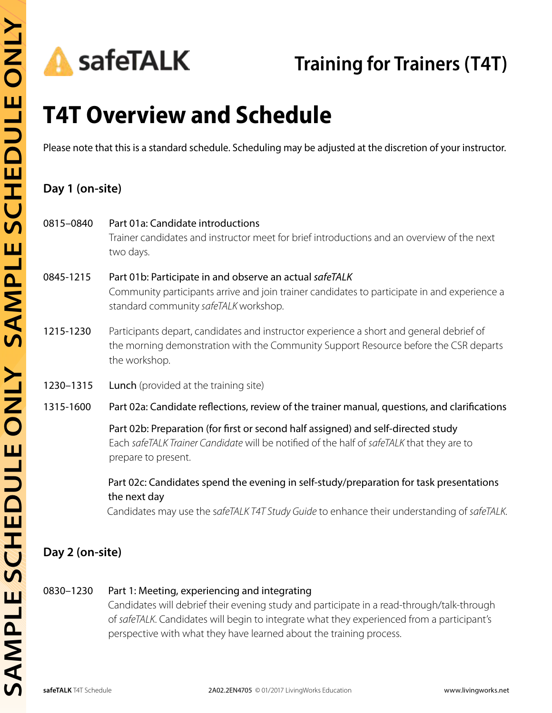# **T4T Overview and Schedule**

Please note that this is a standard schedule. Scheduling may be adjusted at the discretion of your instructor.

# **Day 1 (on-site)**

| 0815-0840       | Part 01a: Candidate introductions<br>Trainer candidates and instructor meet for brief introductions and an overview of the next<br>two days.                                                           |
|-----------------|--------------------------------------------------------------------------------------------------------------------------------------------------------------------------------------------------------|
| 0845-1215       | Part 01b: Participate in and observe an actual safeTALK<br>Community participants arrive and join trainer candidates to participate in and experience a<br>standard community safeTALK workshop.       |
| 1215-1230       | Participants depart, candidates and instructor experience a short and general debrief of<br>the morning demonstration with the Community Support Resource before the CSR departs<br>the workshop.      |
| 1230-1315       | Lunch (provided at the training site)                                                                                                                                                                  |
| 1315-1600       | Part 02a: Candidate reflections, review of the trainer manual, questions, and clarifications                                                                                                           |
|                 | Part 02b: Preparation (for first or second half assigned) and self-directed study<br>Each safeTALK Trainer Candidate will be notified of the half of safeTALK that they are to<br>prepare to present.  |
|                 | Part 02c: Candidates spend the evening in self-study/preparation for task presentations<br>the next day<br>Candidates may use the safeTALK T4T Study Guide to enhance their understanding of safeTALK. |
| Day 2 (on-site) |                                                                                                                                                                                                        |

## 0830–1230 Part 1: Meeting, experiencing and integrating

Candidates will debrief their evening study and participate in a read-through/talk-through of *safeTALK*. Candidates will begin to integrate what they experienced from a participant's perspective with what they have learned about the training process.